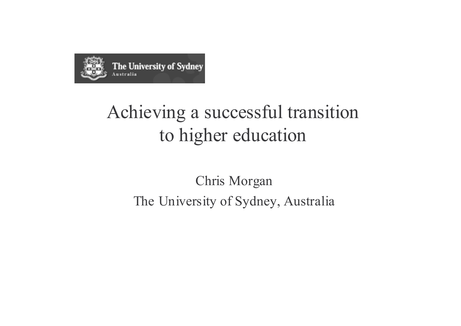

## Achieving a successful transition to higher education

### **Chris Morgan** The University of Sydney, Australia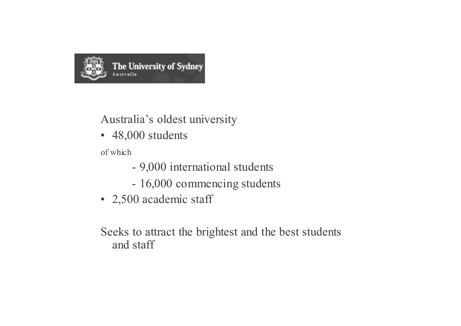

#### Australia's oldest university

• 48,000 students

of which

- 9,000 international students
- 16,000 commencing students
- 2,500 academic staff

Seeks to attract the brightest and the best students and staff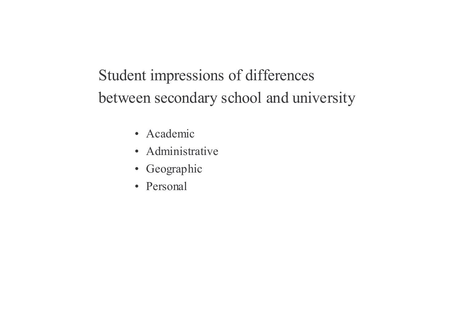Student impressions of differences between secondary school and university

- · Academic
- · Administrative
- Geographic
- Personal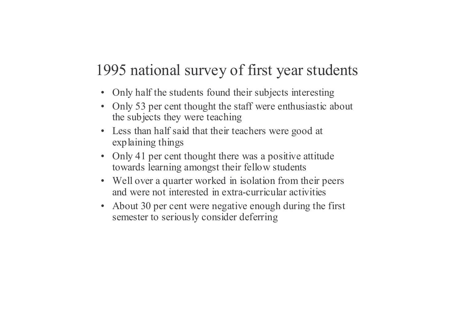### 1995 national survey of first year students

- Only half the students found their subjects interesting
- Only 53 per cent thought the staff were enthusiastic about the subjects they were teaching
- Less than half said that their teachers were good at explaining things
- Only 41 per cent thought there was a positive attitude towards learning amongst their fellow students
- Well over a quarter worked in isolation from their peers and were not interested in extra-curricular activities
- About 30 per cent were negative enough during the first  $\bullet$ semester to seriously consider deferring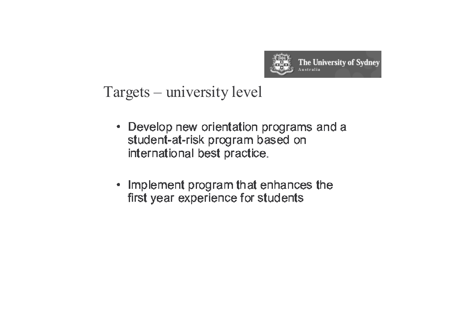

#### Targets – university level

- Develop new orientation programs and a student-at-risk program based on international best practice.
- Implement program that enhances the first year experience for students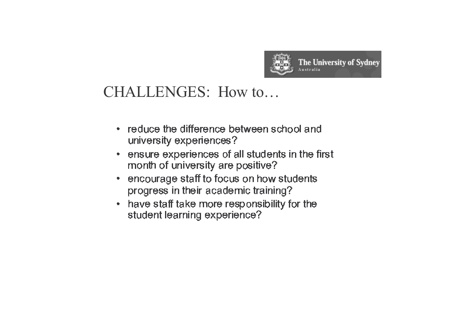

#### CHALLENGES: How to...

- reduce the difference between school and university experiences?
- ensure experiences of all students in the first  $\bullet$ month of university are positive?
- encourage staff to focus on how students progress in their academic training?
- have staff take more responsibility for the  $\bullet$ student learning experience?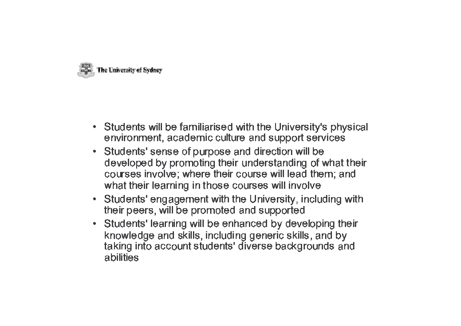

- Students will be familiarised with the University's physical environment, academic culture and support services
- Students' sense of purpose and direction will be developed by promoting their understanding of what their courses involve; where their course will lead them; and what their learning in those courses will involve
- Students' engagement with the University, including with their peers, will be promoted and supported
- Students' learning will be enhanced by developing their knowledge and skills, including generic skills, and by taking into account students' diverse backgrounds and abilities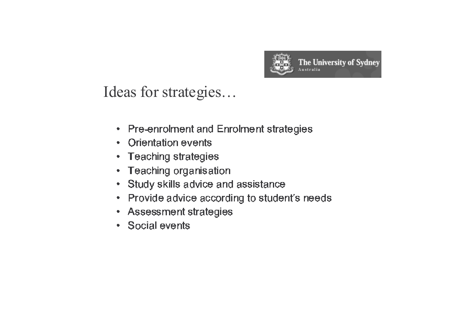

Ideas for strategies...

- Pre-enrolment and Enrolment strategies
- Orientation events
- Teaching strategies
- Teaching organisation
- Study skills advice and assistance
- Provide advice according to student's needs
- Assessment strategies
- Social events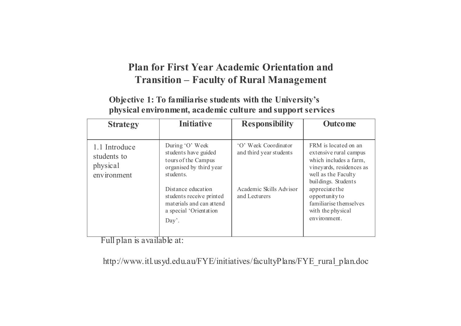#### Plan for First Year Academic Orientation and **Transition - Faculty of Rural Management**

#### Objective 1: To familiarise students with the University's physical environment, academic culture and support services

| <b>Strategy</b>                                                                                               | <b>Initiative</b>                                                                                      | <b>Responsibility</b>                                                                           | <b>Outcome</b>                                                                                                                                     |
|---------------------------------------------------------------------------------------------------------------|--------------------------------------------------------------------------------------------------------|-------------------------------------------------------------------------------------------------|----------------------------------------------------------------------------------------------------------------------------------------------------|
| 1.1 Introduce<br>students to<br>physical<br>environment                                                       | During 'O' Week<br>students have guided<br>tours of the Campus<br>organised by third year<br>students. | 'O' Week Coordinator<br>and third year students                                                 | FRM is located on an<br>extensive rural campus<br>which includes a farm,<br>vineyards, residences as<br>well as the Faculty<br>buildings. Students |
| Distance education<br>students receive printed<br>materials and can attend<br>a special 'Orientation<br>Day'. | Academic Skills Advisor<br>and Lecturers                                                               | appreciate the<br>opportunity to<br>familiarise themselves<br>with the physical<br>environment. |                                                                                                                                                    |

Full plan is available at:

http://www.itl.usyd.edu.au/FYE/initiatives/facultyPlans/FYE\_rural\_plan.doc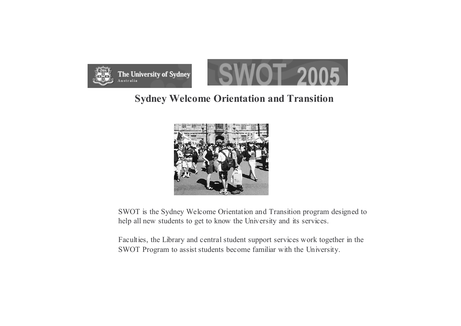

#### **Sydney Welcome Orientation and Transition**



SWOT is the Sydney Welcome Orientation and Transition program designed to help all new students to get to know the University and its services.

Faculties, the Library and central student support services work together in the SWOT Program to assist students become familiar with the University.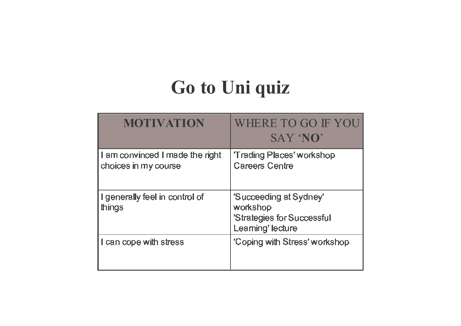## **Go to Uni quiz**

| MOTIVATION                                              | WHERE TO GO IF YOU<br>SAY 'NO'                                                        |
|---------------------------------------------------------|---------------------------------------------------------------------------------------|
| I am convinced I made the right<br>choices in my course | <b>Trading Places' workshop</b><br><b>Careers Centre</b>                              |
| I generally feel in control of<br>things                | 'Succeeding at Sydney'<br>workshop<br>'Strategies for Successful<br>Learning' lecture |
| I can cope with stress                                  | 'Coping with Stress' workshop                                                         |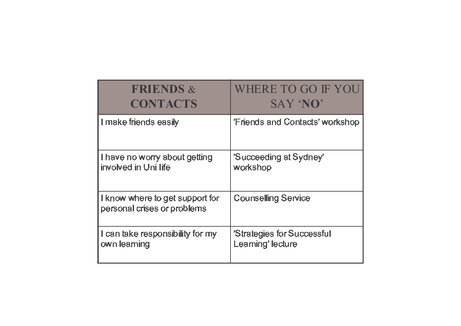| <b>FRIENDS &amp;</b>                                           | WHERE TO GO IF YOU              |  |
|----------------------------------------------------------------|---------------------------------|--|
| <b>CONTACTS</b>                                                | <b>SAY 'NO'</b>                 |  |
| I make friends easily                                          | 'Friends and Contacts' workshop |  |
| I have no worry about getting                                  | 'Succeeding at Sydney'          |  |
| involved in Uni life                                           | workshop                        |  |
| I know where to get support for<br>personal crises or problems | <b>Counselling Service</b>      |  |
| I can take responsibility for my                               | 'Strategies for Successful      |  |
| own learning                                                   | Learning' lecture               |  |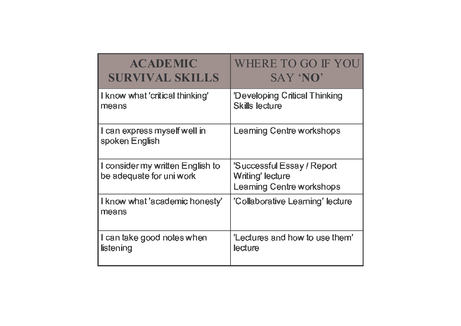| <b>ACADEMIC</b>                                              | WHERE TO GO IF YOU                                                          |  |
|--------------------------------------------------------------|-----------------------------------------------------------------------------|--|
| <b>SURVIVAL SKILLS</b>                                       | SAY 'NO'                                                                    |  |
| I know what 'critical thinking'                              | 'Developing Critical Thinking                                               |  |
| means                                                        | <b>Skills lecture</b>                                                       |  |
| I can express myself well in<br>spoken English               | Learning Centre workshops                                                   |  |
| I consider my written English to<br>be adequate for uni work | 'Successful Essay / Report<br>Writing' lecture<br>Learning Centre workshops |  |
| I know what 'academic honesty'<br>means                      | 'Collaborative Learning' lecture                                            |  |
| I can take good notes when                                   | "Lectures and how to use them"                                              |  |
| listening                                                    | lecture                                                                     |  |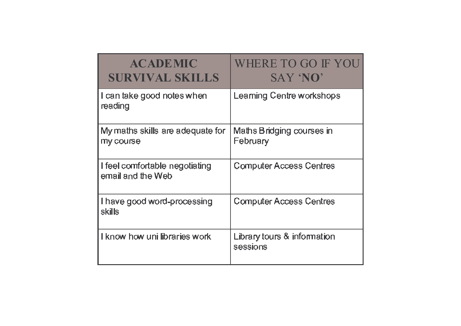| <b>ACADEMIC</b><br><b>SURVIVAL SKILLS</b>           | WHERE TO GO IF YOU<br>SAY 'NO'          |
|-----------------------------------------------------|-----------------------------------------|
| I can take good notes when<br>reading               | Learning Centre workshops               |
| My maths skills are adequate for<br>my course       | Maths Bridging courses in<br>February   |
| I feel comfortable negotiating<br>email and the Web | <b>Computer Access Centres</b>          |
| I have good word-processing<br>skills               | <b>Computer Access Centres</b>          |
| I know how uni libraries work                       | Library tours & information<br>sessions |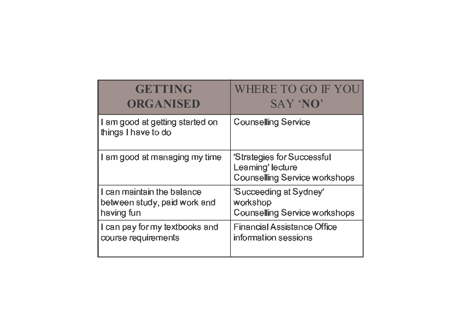| <b>GETTING</b>                                         | WHERE TO GO IF YOU                                                                      |
|--------------------------------------------------------|-----------------------------------------------------------------------------------------|
| ORGANISED                                              | SAY 'NO'                                                                                |
| I am good at getting started on<br>things I have to do | <b>Counselling Service</b>                                                              |
| I am good at managing my time                          | 'Strategies for Successful<br>Learning' lecture<br><b>Counselling Service workshops</b> |
| I can maintain the balance                             | 'Succeeding at Sydney'                                                                  |
| between study, paid work and                           | workshop                                                                                |
| having fun                                             | Counselling Service workshops                                                           |
| I can pay for my textbooks and                         | Financial Assistance Office                                                             |
| course requirements                                    | information sessions                                                                    |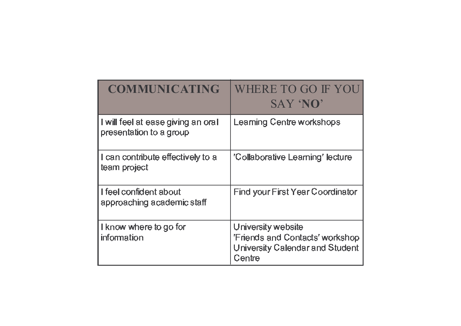| <b>COMMUNICATING</b>                                          | WHERE TO GO IF YOU<br>SAY 'NO'                                                                            |
|---------------------------------------------------------------|-----------------------------------------------------------------------------------------------------------|
| I will feel at ease giving an oral<br>presentation to a group | Learning Centre workshops                                                                                 |
| I can contribute effectively to a<br>team project             | 'Collaborative Learning' lecture                                                                          |
| I feel confident about<br>approaching academic staff          | Find your First Year Coordinator                                                                          |
| I know where to go for<br>information                         | University website<br><b>'Friends and Contacts' workshop</b><br>University Calendar and Student<br>Centre |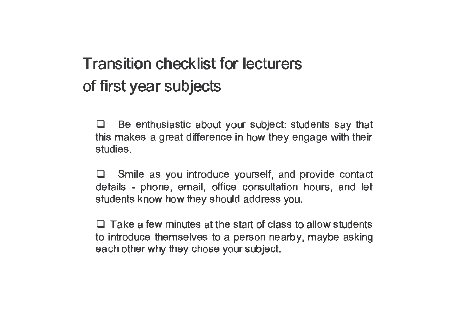## **Transition checklist for lecturers** of first year subjects

Be enthusiastic about your subject: students say that  $\Box$ this makes a great difference in how they engage with their studies.

Smile as you introduce yourself, and provide contact details - phone, email, office consultation hours, and let students know how they should address you.

 $\Box$  Take a few minutes at the start of class to allow students to introduce themselves to a person nearby, maybe asking each other why they chose your subject.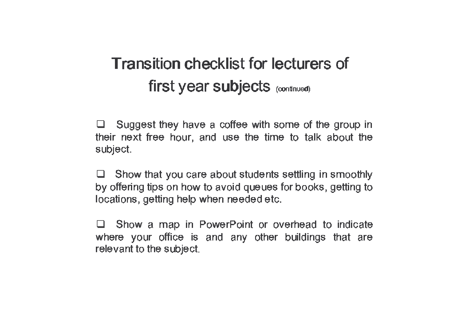Suggest they have a coffee with some of the group in  $\Box$ their next free hour, and use the time to talk about the subject.

Show that you care about students settling in smoothly by offering tips on how to avoid queues for books, getting to locations, getting help when needed etc.

Show a map in PowerPoint or overhead to indicate  $\Box$ where your office is and any other buildings that are relevant to the subject.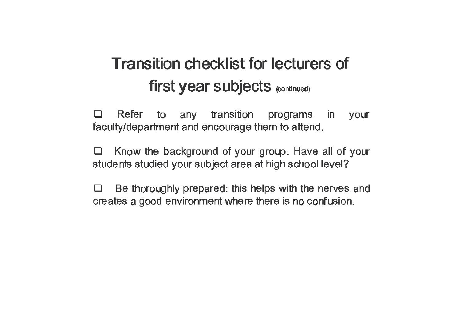Refer to any transition  $\Box$ programs in your faculty/department and encourage them to attend.

Know the background of your group. Have all of your ⊔ students studied your subject area at high school level?

Be thoroughly prepared: this helps with the nerves and  $\Box$ creates a good environment where there is no confusion.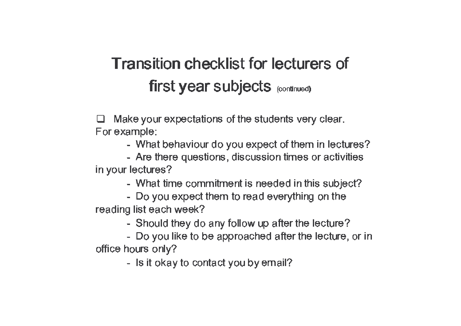Make your expectations of the students very clear. For example:

- What behaviour do you expect of them in lectures?
- Are there questions, discussion times or activities in your lectures?
	- What time commitment is needed in this subject?
- Do you expect them to read everything on the reading list each week?
	- Should they do any follow up after the lecture?
- Do you like to be approached after the lecture, or in office hours only?
	- Is it okay to contact you by email?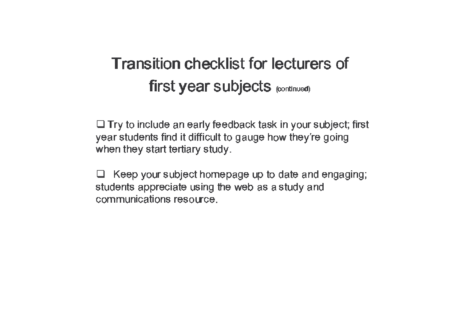$\Box$  Try to include an early feedback task in your subject; first year students find it difficult to gauge how they're going when they start tertiary study.

Keep your subject homepage up to date and engaging;  $\Box$ students appreciate using the web as a study and communications resource.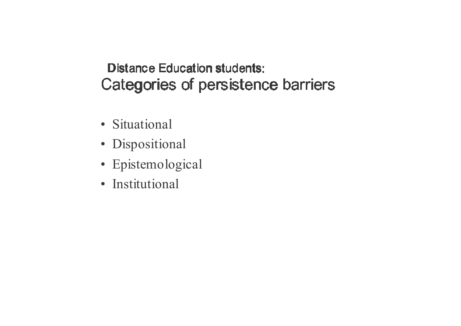- · Situational
- · Dispositional
- · Epistemological
- · Institutional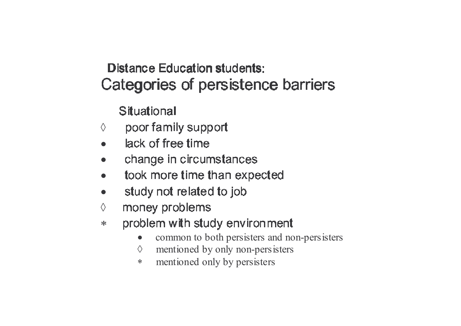**Situational** 

- poor family support  $\Diamond$
- lack of free time  $\bullet$
- change in circumstances  $\bullet$
- took more time than expected
- study not related to job  $\bullet$
- money problems  $\Diamond$
- problem with study environment  $*$ 
	- common to both persisters and non-persisters  $\bullet$
	- mentioned by only non-persisters  $\Diamond$
	- mentioned only by persisters  $\ast$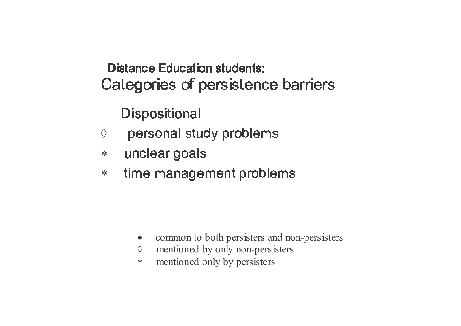**Dispositional** 

- personal study problems  $\Diamond$
- unclear goals  $\ast$
- time management problems  $\ast$

- common to both persisters and non-persisters  $\bullet$
- mentioned by only non-persisters  $\Diamond$
- mentioned only by persisters  $\ast$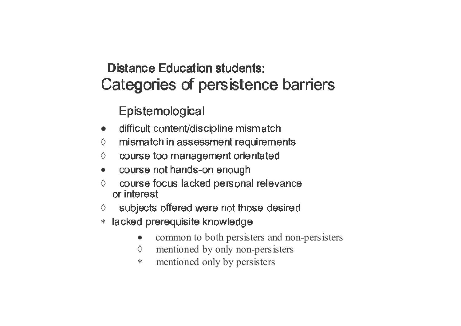Epistemological

- difficult content/discipline mismatch  $\bullet$
- mismatch in assessment requirements  $\Diamond$
- course too management orientated  $\Diamond$
- course not hands-on enough  $\bullet$
- course focus lacked personal relevance  $\Diamond$ or interest
- subjects offered were not those desired ♦
- lacked prerequisite knowledge  $\ast$ 
	- common to both persisters and non-persisters  $\bullet$
	- mentioned by only non-persisters  $\Diamond$
	- mentioned only by persisters  $\ast$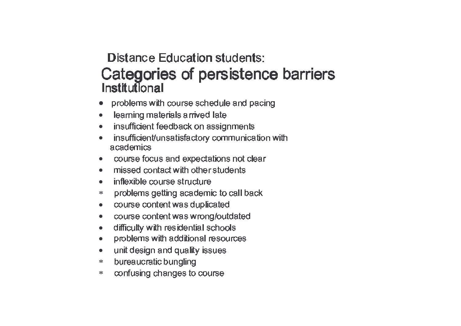#### istana – Fabrastian atrakan z ta zozain z utwrze internacy kandara

- • $\bullet$  problems with course schedule and pacing
- • $\bullet$  learning materials arrived late
- •E FSN VAN DIE GEWENDE EIN DIE GESTE DE GESTE DIE GESTE DIE GESTE DIE GESTE DIE GESTE DIE GESTE DIE GESTE DIE G
- •E FSN VAN DE FERNANDISE EN DE FANGRE IS AFNANDISE EN DE FERNANDISE EN DE FANGRE IS DE FANGRE IS DE FANGRE IS D  $\mathbf{L} = \mathbf{L} = \mathbf{L} \mathbf{L}$  and  $\mathbf{L} = \mathbf{L}$
- •• course focus and expectations not clea
- • $\bullet$  missed contact with other students
- •E F VWMe E]WQMCSLNMN ILSQS ILM
- ∗problems getting academic to call back
- $\bullet$  $\bullet$  course content was duplicated
- •course content was wrong/outdated
- •• difficulty with residential schools
- • $\bullet$  problems with additional resources
- $\bullet$  $\bullet$  unit design and quality issues
- ∗bureaucratic bungling
- ∗\* confusing changes to course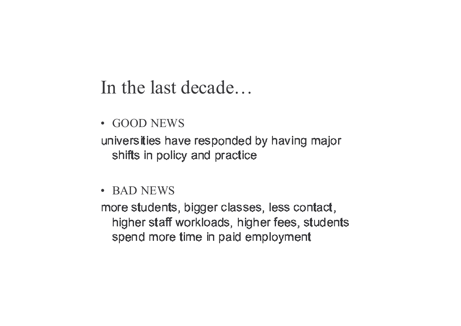### In the last decade...

· GOOD NEWS

universities have responded by having major shifts in policy and practice

• BAD NEWS

more students, bigger classes, less contact, higher staff workloads, higher fees, students spend more time in paid employment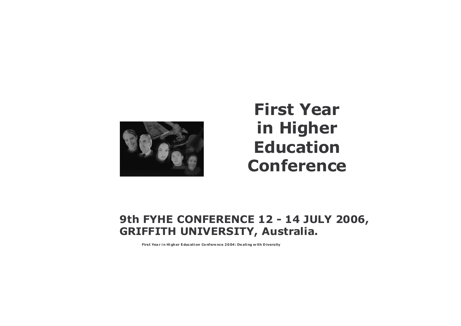

### **First Year** in Higher **Education Conference**

#### 9th FYHE CONFERENCE 12 - 14 JULY 2006, **GRIFFITH UNIVERSITY, Australia.**

First Year in Higher Education Conference 2004: Dealing with Diversity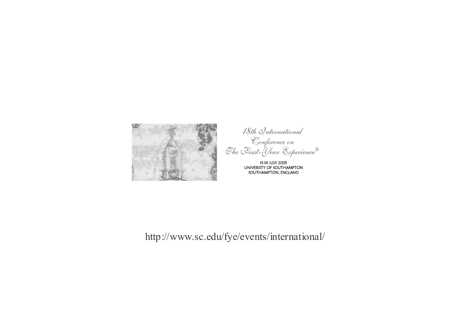

18th Snternational<br>Conference on<br>The Eirst-Year Experience®

11-14 JULY 2005<br>UNIVERSITY OF SOUTHAMPTON SOUTHAMPTON, ENGLAND

http://www.sc.edu/fye/events/international/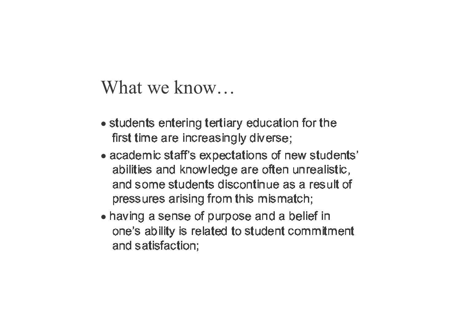What we know...

- students entering tertiary education for the first time are increasingly diverse;
- academic staff's expectations of new students' abilities and knowledge are often unrealistic, and some students discontinue as a result of pressures arising from this mismatch;
- having a sense of purpose and a belief in one's ability is related to student commitment and satisfaction;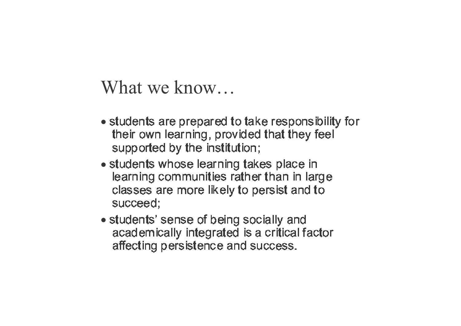What we know...

- students are prepared to take responsibility for their own learning, provided that they feel supported by the institution;
- students whose learning takes place in learning communities rather than in large classes are more likely to persist and to succeed;
- students' sense of being socially and academically integrated is a critical factor affecting persistence and success.